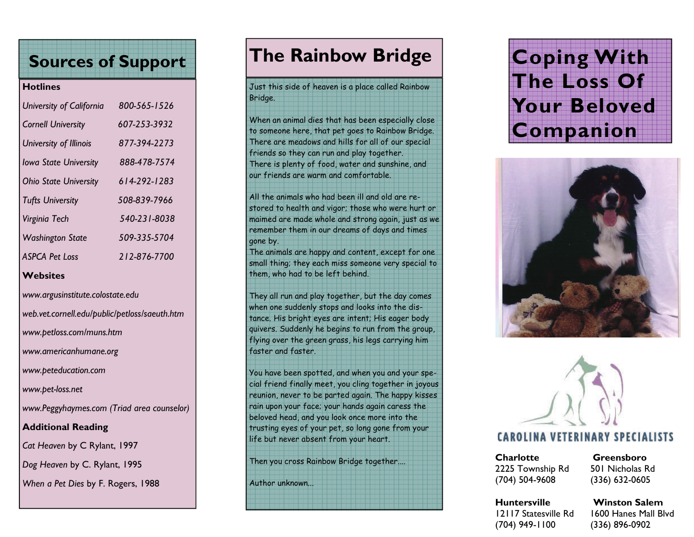# **Sources of Support**

#### **Hotlines**

| University of California     | 800-565-1526 |
|------------------------------|--------------|
| <b>Cornell University</b>    | 607-253-3932 |
| University of Illinois       | 877-394-2273 |
| <b>Iowa State University</b> | 888-478-7574 |
| <b>Ohio State University</b> | 614-292-1283 |
| <b>Tufts University</b>      | 508-839-7966 |
| Virginia Tech                | 540-231-8038 |
| <b>Washington State</b>      | 509-335-5704 |
| <b>ASPCA Pet Loss</b>        | 212-876-7700 |
|                              |              |

#### **Websites**

*www.argusinstitute.colostate.edu* 

*web.vet.cornell.edu/public/petloss/saeuth.htm* 

*www.petloss.com/muns.htm* 

*www.americanhumane.org* 

*www.peteducation.com* 

*www.pet-loss.net* 

*www.Peggyhaymes.com (Triad area counselor)* 

## **Additional Reading**

*Cat Heaven* by C Rylant, 1997

*Dog Heaven* by C. Rylant, 1995

*When a Pet Dies* by F. Rogers, 1988

# **The Rainbow Bridge**

## Just this side of heaven is a place called Rainbow Bridge.

When an animal dies that has been especially close to someone here, that pet goes to Rainbow Bridge. There are meadows and hills for all of our special friends so they can run and play together. There is plenty of food, water and sunshine, and our friends are warm and comfortable.

All the animals who had been ill and old are restored to health and vigor; those who were hurt or maimed are made whole and strong again, just as we remember them in our dreams of days and times gone by.

The animals are happy and content, except for one small thing; they each miss someone very special to them, who had to be left behind.

They all run and play together, but the day comes when one suddenly stops and looks into the distance. His bright eyes are intent; His eager body quivers. Suddenly he begins to run from the group, flying over the green grass, his legs carrying him faster and faster.

You have been spotted, and when you and your special friend finally meet, you cling together in joyous reunion, never to be parted again. The happy kisses rain upon your face; your hands again caress the beloved head, and you look once more into the trusting eyes of your pet, so long gone from your life but never absent from your heart.

Then you cross Rainbow Bridge together....

Author unknown...

# **Coping With The Loss Of Your Beloved Companion**





# **CAROLINA VETERINARY SPECIALISTS**

**Charlotte Greensboro**2225 Township Rd 501 Nicholas Rd (704) 504-9608 (336) 632-0605

#### **Huntersville Winston Salem**12117 Statesville Rd 1600 Hanes Mall Blvd (704) 949-1100 (336) 896-0902